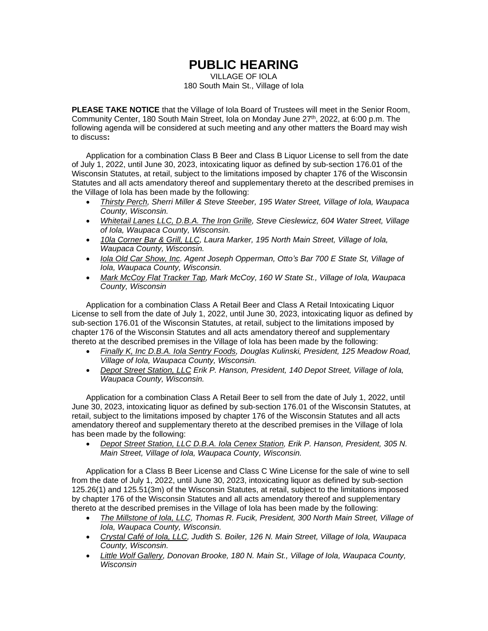## **PUBLIC HEARING**

VILLAGE OF IOLA 180 South Main St., Village of Iola

**PLEASE TAKE NOTICE** that the Village of Iola Board of Trustees will meet in the Senior Room, Community Center, 180 South Main Street, Iola on Monday June 27<sup>th</sup>, 2022, at 6:00 p.m. The following agenda will be considered at such meeting and any other matters the Board may wish to discuss**:**

Application for a combination Class B Beer and Class B Liquor License to sell from the date of July 1, 2022, until June 30, 2023, intoxicating liquor as defined by sub-section 176.01 of the Wisconsin Statutes, at retail, subject to the limitations imposed by chapter 176 of the Wisconsin Statutes and all acts amendatory thereof and supplementary thereto at the described premises in the Village of Iola has been made by the following:

- *Thirsty Perch, Sherri Miller & Steve Steeber, 195 Water Street, Village of Iola, Waupaca County, Wisconsin.*
- *Whitetail Lanes LLC, D.B.A. The Iron Grille, Steve Cieslewicz, 604 Water Street, Village of Iola, Waupaca County, Wisconsin.*
- *10la Corner Bar & Grill, LLC, Laura Marker, 195 North Main Street, Village of Iola, Waupaca County, Wisconsin.*
- *Iola Old Car Show, Inc. Agent Joseph Opperman, Otto's Bar 700 E State St, Village of Iola, Waupaca County, Wisconsin.*
- *Mark McCoy Flat Tracker Tap, Mark McCoy, 160 W State St., Village of Iola, Waupaca County, Wisconsin*

Application for a combination Class A Retail Beer and Class A Retail Intoxicating Liquor License to sell from the date of July 1, 2022, until June 30, 2023, intoxicating liquor as defined by sub-section 176.01 of the Wisconsin Statutes, at retail, subject to the limitations imposed by chapter 176 of the Wisconsin Statutes and all acts amendatory thereof and supplementary thereto at the described premises in the Village of Iola has been made by the following:

- *Finally K, Inc D.B.A. Iola Sentry Foods, Douglas Kulinski, President, 125 Meadow Road, Village of Iola, Waupaca County, Wisconsin.*
- *Depot Street Station, LLC Erik P. Hanson, President, 140 Depot Street, Village of Iola, Waupaca County, Wisconsin.*

Application for a combination Class A Retail Beer to sell from the date of July 1, 2022, until June 30, 2023, intoxicating liquor as defined by sub-section 176.01 of the Wisconsin Statutes, at retail, subject to the limitations imposed by chapter 176 of the Wisconsin Statutes and all acts amendatory thereof and supplementary thereto at the described premises in the Village of Iola has been made by the following:

• *Depot Street Station, LLC D.B.A. Iola Cenex Station, Erik P. Hanson, President, 305 N. Main Street, Village of Iola, Waupaca County, Wisconsin.* 

Application for a Class B Beer License and Class C Wine License for the sale of wine to sell from the date of July 1, 2022, until June 30, 2023, intoxicating liquor as defined by sub-section 125.26(1) and 125.51(3m) of the Wisconsin Statutes, at retail, subject to the limitations imposed by chapter 176 of the Wisconsin Statutes and all acts amendatory thereof and supplementary thereto at the described premises in the Village of Iola has been made by the following:

- *The Millstone of Iola, LLC, Thomas R. Fucik, President, 300 North Main Street, Village of Iola, Waupaca County, Wisconsin.*
- *Crystal Café of Iola, LLC, Judith S. Boiler, 126 N. Main Street, Village of Iola, Waupaca County, Wisconsin.*
- *Little Wolf Gallery, Donovan Brooke, 180 N. Main St., Village of Iola, Waupaca County, Wisconsin*